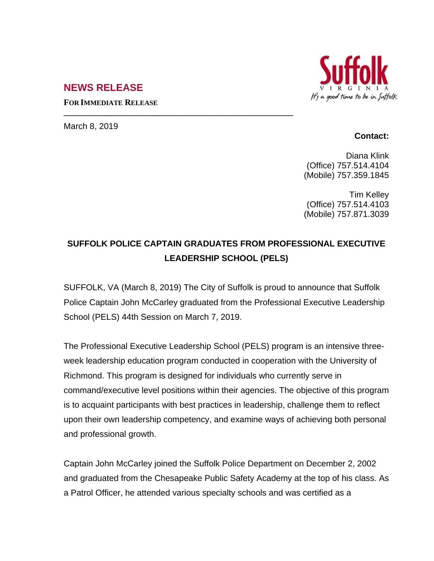## **NEWS RELEASE**

**FOR IMMEDIATE RELEASE**

**\_\_\_\_\_\_\_\_\_\_\_\_\_\_\_\_\_\_\_\_\_\_\_\_\_\_\_\_\_\_\_\_\_\_\_\_\_\_\_\_\_\_\_\_\_\_\_\_\_\_\_\_\_\_**

March 8, 2019

## **Contact:**

Diana Klink (Office) 757.514.4104 (Mobile) 757.359.1845

Tim Kelley (Office) 757.514.4103 (Mobile) 757.871.3039

## **SUFFOLK POLICE CAPTAIN GRADUATES FROM PROFESSIONAL EXECUTIVE LEADERSHIP SCHOOL (PELS)**

SUFFOLK, VA (March 8, 2019) The City of Suffolk is proud to announce that Suffolk Police Captain John McCarley graduated from the Professional Executive Leadership School (PELS) 44th Session on March 7, 2019.

The Professional Executive Leadership School (PELS) program is an intensive threeweek leadership education program conducted in cooperation with the University of Richmond. This program is designed for individuals who currently serve in command/executive level positions within their agencies. The objective of this program is to acquaint participants with best practices in leadership, challenge them to reflect upon their own leadership competency, and examine ways of achieving both personal and professional growth.

Captain John McCarley joined the Suffolk Police Department on December 2, 2002 and graduated from the Chesapeake Public Safety Academy at the top of his class. As a Patrol Officer, he attended various specialty schools and was certified as a